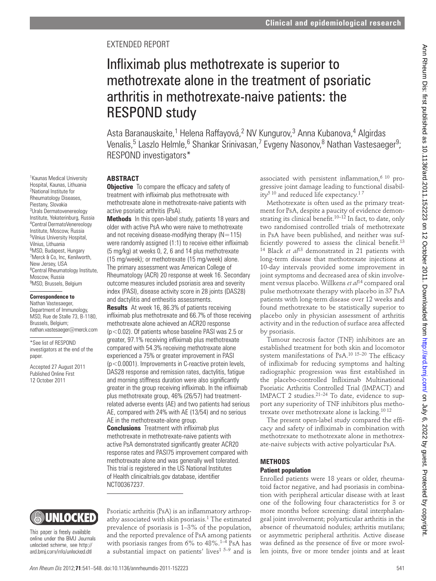## EXTENDED REPORT

# Infliximab plus methotrexate is superior to methotrexate alone in the treatment of psoriatic arthritis in methotrexate-naive patients: the RESPOND study

Asta Baranauskaite,<sup>1</sup> Helena Raffayová,<sup>2</sup> NV Kungurov,<sup>3</sup> Anna Kubanova,<sup>4</sup> Algirdas Venalis,<sup>5</sup> Laszlo Helmle,<sup>6</sup> Shankar Srinivasan,<sup>7</sup> Evgeny Nasonov,<sup>8</sup> Nathan Vastesaeger<sup>9</sup>; RESPOND investigators\*

### **ABSTRACT**

1 Kaunas Medical University Hospital, Kaunas, Lithuania 2 National Institute for Rheumatology Diseases, Piestany, Slovakia 3 Urals Dermatovenereology Institute, Yekaterinburg, Russia 4 Central DermatoVenereology Institute, Moscow, Russia 5 Vilnius University Hospital, Vilnius, Lithuania <sup>6</sup>MSD, Budapest, Hungary 7 Merck & Co, Inc, Kenilworth, New Jersey, USA

<sup>8</sup>Central Rheumatology Institute,

nathan.vastesaeger@merck.com

Moscow, Russia <sup>9</sup>MSD, Brussels, Belgium **Correspondence to** Nathan Vastesaeger, Department of Immunology, MSD, Rue de Stalle 73, B-1180,

Brussels, Belgium;

\*See list of RESPOND investigators at the end of the

Accepted 27 August 2011 Published Online First 12 October 2011

paper.

**Objective** To compare the efficacy and safety of treatment with infliximab plus methotrexate with methotrexate alone in methotrexate-naive patients with active psoriatic arthritis (PsA).

**Methods** In this open-label study, patients 18 years and older with active PsA who were naive to methotrexate and not receiving disease-modifying therapy  $(N=115)$ were randomly assigned  $(1:1)$  to receive either infliximab (5 mg/kg) at weeks 0, 2, 6 and 14 plus methotrexate (15 mg/week); or methotrexate (15 mg/week) alone. The primary assessment was American College of Rheumatology (ACR) 20 response at week 16. Secondary outcome measures included psoriasis area and severity index (PASI), disease activity score in 28 joints (DAS28) and dactylitis and enthesitis assessments.

**Results** At week 16, 86.3% of patients receiving infliximab plus methotrexate and 66.7% of those receiving methotrexate alone achieved an ACR20 response (p<0.02). Of patients whose baseline PASI was 2.5 or greater, 97.1% receiving infliximab plus methotrexate compared with 54.3% receiving methotrexate alone experienced a 75% or greater improvement in PASI (p<0.0001). Improvements in C-reactive protein levels, DAS28 response and remission rates, dactylitis, fatigue and morning stiffness duration were also significantly greater in the group receiving infliximab. In the infliximab plus methotrexate group, 46% (26/57) had treatmentrelated adverse events (AE) and two patients had serious AE, compared with 24% with AE (13/54) and no serious AE in the methotrexate-alone group.

**Conclusions** Treatment with infliximab plus methotrexate in methotrexate-naive patients with active PsA demonstrated significantly greater ACR20 response rates and PASI75 improvement compared with methotrexate alone and was generally well tolerated. This trial is registered in the US National Institutes of Health clinicaltrials.gov database, identifier NCT00367237.

Psoriatic arthritis (PsA) is an inflammatory arthropathy associated with skin psoriasis.1 The estimated prevalence of psoriasis is 1–3% of the population, and the reported prevalence of PsA among patients with psoriasis ranges from 6% to 48%.<sup>1-4</sup> PsA has a substantial impact on patients' lives<sup>1 5–9</sup> and is

associated with persistent inflammation.<sup>6 10</sup> progressive joint damage leading to functional disability5 10 and reduced life expectancy.1 7

Methotrexate is often used as the primary treatment for PsA, despite a paucity of evidence demonstrating its clinical benefit.<sup>10–12</sup> In fact, to date, only two randomised controlled trials of methotrexate in PsA have been published, and neither was sufficiently powered to assess the clinical benefit. $13$ <sup>14</sup> Black *et al*<sup>13</sup> demonstrated in 21 patients with long-term disease that methotrexate injections at 10-day intervals provided some improvement in joint symptoms and decreased area of skin involvement versus placebo. Willkens *et al*14 compared oral pulse methotrexate therapy with placebo in 37 PsA patients with long-term disease over 12 weeks and found methotrexate to be statistically superior to placebo only in physician assessment of arthritis activity and in the reduction of surface area affected by psoriasis. **Example 12** and **2012 Control of the control of the strengthents**. The control of the strengthents in method the strengthents in the first published as 10.1236/ard. 2012 and 30.1236/ard. 2012 and 30.1236/ard. 2012 and

Tumour necrosis factor (TNF) inhibitors are an established treatment for both skin and locomotor system manifestations of PsA.<sup>10 15–20</sup> The efficacy of infliximab for reducing symptoms and halting radiographic progression was first established in the placebo-controlled Infliximab Multinational Psoriatic Arthritis Controlled Trial (IMPACT) and IMPACT 2 studies.21–24 To date, evidence to support any superiority of TNF inhibitors plus methotrexate over methotrexate alone is lacking.10 12

The present open-label study compared the efficacy and safety of infliximab in combination with methotrexate to methotrexate alone in methotrexate-naive subjects with active polyarticular PsA.

#### **METHODS Patient population**

Enrolled patients were 18 years or older, rheumatoid factor negative, and had psoriasis in combination with peripheral articular disease with at least one of the following four characteristics for 3 or more months before screening: distal interphalangeal joint involvement; polyarticular arthritis in the absence of rheumatoid nodules; arthritis mutilans; or asymmetric peripheral arthritis. Active disease was defined as the presence of five or more swollen joints, five or more tender joints and at least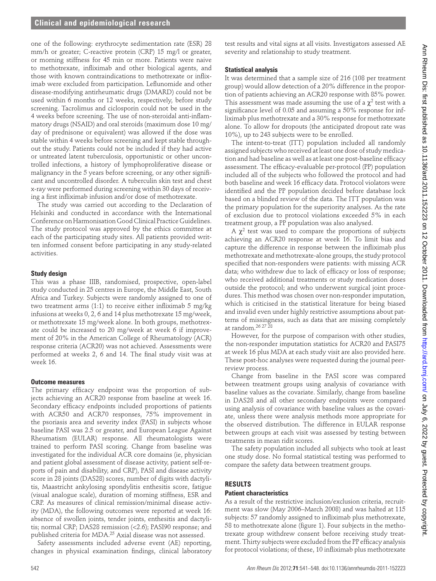one of the following: erythrocyte sedimentation rate (ESR) 28 mm/h or greater; C-reactive protein (CRP) 15 mg/l or greater, or morning stiffness for 45 min or more. Patients were naive to methotrexate, infliximab and other biological agents, and those with known contraindications to methotrexate or infliximab were excluded from participation. Leflunomide and other disease-modifying antirheumatic drugs (DMARD) could not be used within 6 months or 12 weeks, respectively, before study screening. Tacrolimus and ciclosporin could not be used in the 4 weeks before screening. The use of non-steroidal anti-inflammatory drugs (NSAID) and oral steroids (maximum dose 10 mg/ day of prednisone or equivalent) was allowed if the dose was stable within 4 weeks before screening and kept stable throughout the study. Patients could not be included if they had active or untreated latent tuberculosis, opportunistic or other uncontrolled infections, a history of lymphoproliferative disease or malignancy in the 5 years before screening, or any other significant and uncontrolled disorder. A tuberculin skin test and chest x-ray were performed during screening within 30 days of receiving a first infliximab infusion and/or dose of methotrexate. 13. and 2011-152223. The control of the control of the control of the control of the control of the control of the control of the control of the control of the control of the control of the control of the control of the

The study was carried out according to the Declaration of Helsinki and conducted in accordance with the International Conference on Harmonisation Good Clinical Practice Guidelines. The study protocol was approved by the ethics committee at each of the participating study sites. All patients provided written informed consent before participating in any study-related activities.

#### **Study design**

This was a phase IIIB, randomised, prospective, open-label study conducted in 25 centres in Europe, the Middle East, South Africa and Turkey. Subjects were randomly assigned to one of two treatment arms  $(1:1)$  to receive either infliximab 5 mg/kg infusions at weeks 0, 2, 6 and 14 plus methotrexate 15 mg/week, or methotrexate 15 mg/week alone. In both groups, methotrexate could be increased to 20 mg/week at week 6 if improvement of 20% in the American College of Rheumatology (ACR) response criteria (ACR20) was not achieved. Assessments were performed at weeks 2, 6 and 14. The final study visit was at week 16.

#### **Outcome measures**

The primary efficacy endpoint was the proportion of subjects achieving an ACR20 response from baseline at week 16. Secondary efficacy endpoints included proportions of patients with ACR50 and ACR70 responses, 75% improvement in the psoriasis area and severity index (PASI) in subjects whose baseline PASI was 2.5 or greater, and European League Against Rheumatism (EULAR) response. All rheumatologists were trained to perform PASI scoring. Change from baseline was investigated for the individual ACR core domains (ie, physician and patient global assessment of disease activity, patient self-reports of pain and disability, and CRP), PASI and disease activity score in 28 joints (DAS28) scores, number of digits with dactylitis, Maastricht ankylosing spondylitis enthesitis score, fatigue (visual analogue scale), duration of morning stiffness, ESR and CRP. As measures of clinical remission/minimal disease activity (MDA), the following outcomes were reported at week 16: absence of swollen joints, tender joints, enthesitis and dactylitis; normal CRP; DAS28 remission (<2.6); PASI90 response; and published criteria for MDA.25 Axial disease was not assessed.

Safety assessments included adverse event (AE) reporting, changes in physical examination findings, clinical laboratory

test results and vital signs at all visits. Investigators assessed AE severity and relationship to study treatment.

#### **Statistical analysis**

It was determined that a sample size of 216 (108 per treatment group) would allow detection of a 20% difference in the proportion of patients achieving an ACR20 response with 85% power. This assessment was made assuming the use of a  $\chi^2$  test with a significance level of 0.05 and assuming a 50% response for infliximab plus methotrexate and a 30% response for methotrexate alone. To allow for dropouts (the anticipated dropout rate was 10%), up to 243 subjects were to be enrolled.

The intent-to-treat (ITT) population included all randomly assigned subjects who received at least one dose of study medication and had baseline as well as at least one post-baseline efficacy assessment. The efficacy-evaluable per-protocol (PP) population included all of the subjects who followed the protocol and had both baseline and week 16 efficacy data. Protocol violators were identified and the PP population decided before database lock based on a blinded review of the data. The ITT population was the primary population for the superiority analyses. As the rate of exclusion due to protocol violations exceeded 5% in each treatment group, a PP population was also analysed.

A  $\chi^2$  test was used to compare the proportions of subjects achieving an ACR20 response at week 16. To limit bias and capture the difference in response between the infliximab plus methotrexate and methotrexate-alone groups, the study protocol specified that non-responders were patients: with missing ACR data; who withdrew due to lack of efficacy or loss of response; who received additional treatments or study medication doses outside the protocol; and who underwent surgical joint procedures. This method was chosen over non-responder imputation, which is criticised in the statistical literature for being biased and invalid even under highly restrictive assumptions about patterns of missingness, such as data that are missing completely at random.26 27 28

However, for the purpose of comparison with other studies, the non-responder imputation statistics for ACR20 and PASI75 at week 16 plus MDA at each study visit are also provided here. These post-hoc analyses were requested during the journal peerreview process.

Change from baseline in the PASI score was compared between treatment groups using analysis of covariance with baseline values as the covariate. Similarly, change from baseline in DAS28 and all other secondary endpoints were compared using analysis of covariance with baseline values as the covariate, unless there were analysis methods more appropriate for the observed distribution. The difference in EULAR response between groups at each visit was assessed by testing between treatments in mean ridit scores.

The safety population included all subjects who took at least one study dose. No formal statistical testing was performed to compare the safety data between treatment groups.

#### **RESULTS**

#### **Patient characteristics**

As a result of the restrictive inclusion/exclusion criteria, recruitment was slow (May 2006–March 2008) and was halted at 115 subjects: 57 randomly assigned to infliximab plus methotrexate, 58 to methotrexate alone (figure 1). Four subjects in the methotrexate group withdrew consent before receiving study treatment. Thirty subjects were excluded from the PP efficacy analysis for protocol violations; of these, 10 infliximab plus methotrexate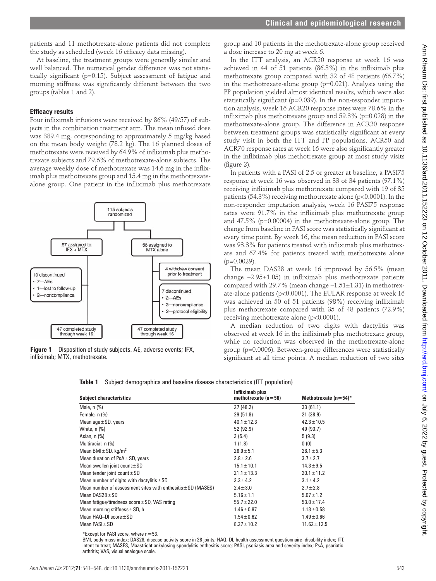patients and 11 methotrexate-alone patients did not complete the study as scheduled (week 16 efficacy data missing).

#### **Efficacy results**



**Figure 1** Disposition of study subjects. AE, adverse events; IFX, infliximab; MTX, methotrexate.

group and 10 patients in the methotrexate-alone group received a dose increase to 20 mg at week 6.

|  | <b>Table 1</b> Subject demographics and baseline disease characteristics (ITT population) |  |  |  |
|--|-------------------------------------------------------------------------------------------|--|--|--|
|--|-------------------------------------------------------------------------------------------|--|--|--|

| 47 completed study<br>47 completed study<br>through week 16<br>through week 16<br>Disposition of study subjects. AE, adverse events; IFX,<br>Figure 1<br>infliximab; MTX, methotrexate. | 2-protocol eligibility                   | was achieved in 50 of 51 patients (98%) receiving infliximab<br>plus methotrexate compared with 35 of 48 patients (72.9%)<br>receiving methotrexate alone (p<0.0001).<br>A median reduction of two digits with dactylitis was<br>observed at week 16 in the infliximab plus methotrexate group,<br>while no reduction was observed in the methotrexate-alone<br>group (p=0.0006). Between-group differences were statistically | ate-alone patients (p<0.0001). The EULAR response at week 16 |
|-----------------------------------------------------------------------------------------------------------------------------------------------------------------------------------------|------------------------------------------|--------------------------------------------------------------------------------------------------------------------------------------------------------------------------------------------------------------------------------------------------------------------------------------------------------------------------------------------------------------------------------------------------------------------------------|--------------------------------------------------------------|
| Subject demographics and baseline disease characteristics (ITT population)<br>Table 1                                                                                                   |                                          | significant at all time points. A median reduction of two sites                                                                                                                                                                                                                                                                                                                                                                |                                                              |
| <b>Subject characteristics</b>                                                                                                                                                          | Infliximab plus<br>methotrexate $(n=56)$ | Methotrexate $(n=54)^*$                                                                                                                                                                                                                                                                                                                                                                                                        |                                                              |
| Male, n (%)                                                                                                                                                                             | 27 (48.2)                                | 33(61.1)                                                                                                                                                                                                                                                                                                                                                                                                                       |                                                              |
| Female, n (%)                                                                                                                                                                           | 29 (51.8)<br>$40.1 \pm 12.3$             | 21 (38.9)<br>$42.3 \pm 10.5$                                                                                                                                                                                                                                                                                                                                                                                                   |                                                              |
| Mean age $\pm$ SD, years<br>White, n (%)                                                                                                                                                | 52 (92.9)                                | 49 (90.7)                                                                                                                                                                                                                                                                                                                                                                                                                      |                                                              |
| Asian, n (%)                                                                                                                                                                            | 3(5.4)                                   | 5(9.3)                                                                                                                                                                                                                                                                                                                                                                                                                         |                                                              |
| Multiracial, n (%)                                                                                                                                                                      | 1(1.8)                                   | 0(0)                                                                                                                                                                                                                                                                                                                                                                                                                           |                                                              |
| Mean BMI $\pm$ SD, kg/m <sup>2</sup>                                                                                                                                                    | $26.9 + 5.1$                             | $28.1 \pm 5.3$                                                                                                                                                                                                                                                                                                                                                                                                                 |                                                              |
| Mean duration of $PsA \pm SD$ , years                                                                                                                                                   | $2.8 \pm 2.6$                            | $3.7 \pm 2.7$                                                                                                                                                                                                                                                                                                                                                                                                                  |                                                              |
| Mean swollen joint count $\pm$ SD                                                                                                                                                       | $15.1 \pm 10.1$                          | $14.3 \pm 9.5$                                                                                                                                                                                                                                                                                                                                                                                                                 |                                                              |
| Mean tender joint count $\pm SD$                                                                                                                                                        | $21.1 \pm 13.3$                          | $20.1 \pm 11.2$                                                                                                                                                                                                                                                                                                                                                                                                                |                                                              |
| Mean number of digits with dactylitis $\pm$ SD                                                                                                                                          | $3.3 \pm 4.2$                            | $3.1 \pm 4.2$                                                                                                                                                                                                                                                                                                                                                                                                                  |                                                              |
| Mean number of assessment sites with enthesitis $\pm$ SD (MASES)                                                                                                                        | $2.4 \pm 3.0$                            | $2.7 \pm 2.8$                                                                                                                                                                                                                                                                                                                                                                                                                  |                                                              |
| Mean $DASS28 \pm SD$<br>Mean fatigue/tiredness score $\pm$ SD, VAS rating                                                                                                               | $5.16 \pm 1.1$<br>$55.7 \pm 22.0$        | $5.07 \pm 1.2$<br>$53.0 \pm 17.4$                                                                                                                                                                                                                                                                                                                                                                                              |                                                              |
| Mean morning stiffness $\pm$ SD, h                                                                                                                                                      | $1.46 \pm 0.87$                          | $1.13 \pm 0.58$                                                                                                                                                                                                                                                                                                                                                                                                                |                                                              |
| Mean HAQ-DI score ± SD                                                                                                                                                                  | $1.54 \pm 0.62$                          | $1.49 + 0.66$                                                                                                                                                                                                                                                                                                                                                                                                                  |                                                              |
| Mean PASI±SD                                                                                                                                                                            | $8.27 \pm 10.2$                          | $11.62 \pm 12.5$                                                                                                                                                                                                                                                                                                                                                                                                               |                                                              |
|                                                                                                                                                                                         |                                          |                                                                                                                                                                                                                                                                                                                                                                                                                                |                                                              |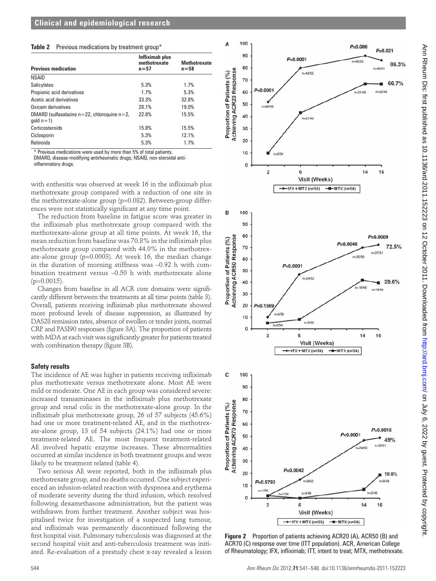#### **Table 2** Previous medications by treatment group\*

| <b>Previous medication</b>                                       | Infliximab plus<br>methotrexate<br>$n = 57$ | <b>Methotrexate</b><br>$n = 58$ |
|------------------------------------------------------------------|---------------------------------------------|---------------------------------|
| <b>NSAID</b>                                                     |                                             |                                 |
| Salicylates                                                      | 5.3%                                        | 1.7%                            |
| Propionic acid derivatives                                       | 1.7%                                        | 5.3%                            |
| Acetic acid derivatives                                          | 33.3%                                       | 32.8%                           |
| Oxicam derivatives                                               | 28.1%                                       | 19.0%                           |
| DMARD (sulfasalazine $n=22$ , chloroquine $n=2$ ,<br>$qold n=1)$ | 22.8%                                       | 15.5%                           |
| Corticosteroids                                                  | 15.8%                                       | 15.5%                           |
| Ciclosporin                                                      | 5.3%                                        | 12.1%                           |
| Retinoids                                                        | 5.3%                                        | 1.7%                            |

\* Previous medications were used by more than 5% of total patients. DMARD, disease-modifying antirheumatic drugs; NSAID, non-steroidal anti-

inflammatory drugs.

with enthesitis was observed at week 16 in the infliximab plus methotrexate group compared with a reduction of one site in the methotrexate-alone group (p=0.082). Between-group differences were not statistically significant at any time point.

The reduction from baseline in fatigue score was greater in the infliximab plus methotrexate group compared with the methotrexate-alone group at all time points. At week 16, the mean reduction from baseline was 70.8% in the infliximab plus methotrexate group compared with 44.0% in the methotrexate-alone group (p=0.0003). At week 16, the median change in the duration of morning stiffness was –0.92 h with combination treatment versus –0.50 h with methotrexate alone  $(p=0.0015)$ .

Changes from baseline in all ACR core domains were significantly different between the treatments at all time points (table 3). Overall, patients receiving infliximab plus methotrexate showed more profound levels of disease suppression, as illustrated by DAS28 remission rates, absence of swollen or tender joints, normal CRP and PASI90 responses (figure 3A). The proportion of patients with MDA at each visit was significantly greater for patients treated with combination therapy (figure 3B).

#### **Safety results**

The incidence of AE was higher in patients receiving infliximab plus methotrexate versus methotrexate alone. Most AE were mild or moderate. One AE in each group was considered severe: increased transaminases in the infliximab plus methotrexate group and renal colic in the methotrexate-alone group. In the infliximab plus methotrexate group, 26 of 57 subjects (45.6%) had one or more treatment-related AE, and in the methotrexate-alone group, 13 of 54 subjects (24.1%) had one or more treatment-related AE. The most frequent treatment-related AE involved hepatic enzyme increases. These abnormalities occurred at similar incidence in both treatment groups and were likely to be treatment related (table 4).

Two serious AE were reported, both in the infliximab plus methotrexate group, and no deaths occurred. One subject experienced an infusion-related reaction with dyspnoea and erythema of moderate severity during the third infusion, which resolved following dexamethasone administration, but the patient was withdrawn from further treatment. Another subject was hospitalised twice for investigation of a suspected lung tumour, and infliximab was permanently discontinued following the first hospital visit. Pulmonary tuberculosis was diagnosed at the second hospital visit and anti-tuberculosis treatment was initiated. Re-evaluation of a prestudy chest x-ray revealed a lesion



**Figure 2** Proportion of patients achieving ACR20 (A), ACR50 (B) and ACR70 (C) response over time (ITT population). ACR, American College of Rheumatology; IFX, infliximab; ITT, intent to treat; MTX, methotrexate.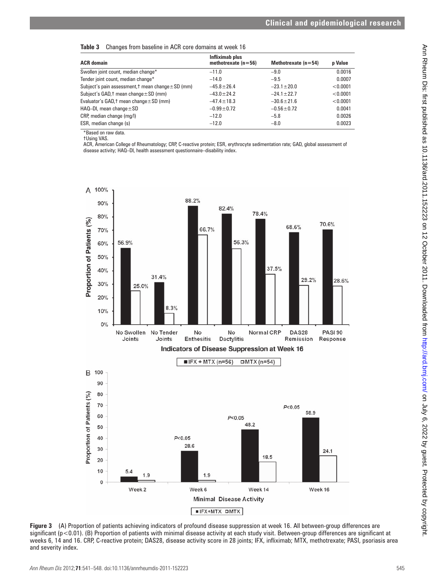|  | Table 3 Changes from baseline in ACR core domains at week 16 |  |  |  |  |  |
|--|--------------------------------------------------------------|--|--|--|--|--|
|--|--------------------------------------------------------------|--|--|--|--|--|

| Infliximab plus<br>methotrexate $(n=56)$ | Methotrexate $(n=54)$ | p Value  |
|------------------------------------------|-----------------------|----------|
| $-11.0$                                  | $-9.0$                | 0.0016   |
| $-14.0$                                  | $-9.5$                | 0.0007   |
| $-45.8 \pm 26.4$                         | $-23.1 \pm 20.0$      | < 0.0001 |
| $-43.0 \pm 24.2$                         | $-24.1 \pm 22.7$      | < 0.0001 |
| $-47.4 \pm 18.3$                         | $-30.6 \pm 21.6$      | < 0.0001 |
| $-0.99 \pm 0.72$                         | $-0.56 \pm 0.72$      | 0.0041   |
| $-12.0$                                  | $-5.8$                | 0.0026   |
| $-12.0$                                  | $-8.0$                | 0.0023   |
|                                          |                       |          |

\*Based on raw data.

†Using VAS.

ACR, American College of Rheumatology; CRP, C-reactive protein; ESR, erythrocyte sedimentation rate; GAD, global assessment of disease activity; HAQ–DI, health assessment questionnaire–disability index.



**Figure 3** (A) Proportion of patients achieving indicators of profound disease suppression at week 16. All between-group differences are significant ( $p$ <0.01). (B) Proportion of patients with minimal disease activity at each study visit. Between-group differences are significant at weeks 6, 14 and 16. CRP, C-reactive protein; DAS28, disease activity score in 28 joints; IFX, infliximab; MTX, methotrexate; PASI, psoriasis area and severity index.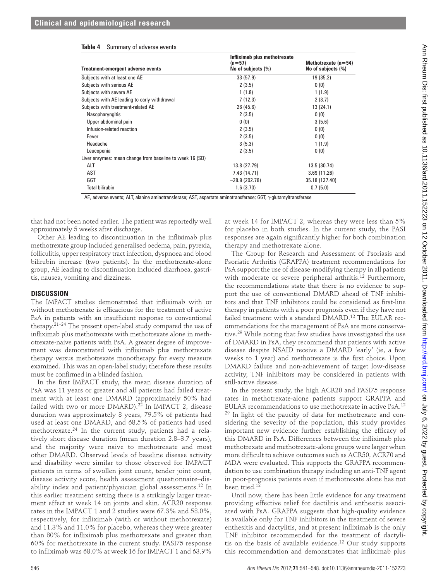|  |  | Table 4 Summary of adverse events |  |
|--|--|-----------------------------------|--|
|--|--|-----------------------------------|--|

| Subjects with at least one AE<br>Subjects with serious AE<br>Subjects with severe AE<br>Subjects with AE leading to early withdrawal<br>Subjects with treatment-related AE<br>Nasopharyngitis<br>Upper abdominal pain<br>Infusion-related reaction<br>Fever<br>Headache<br>Leucopenia<br>Liver enzymes: mean change from baseline to week 16 (SD)<br>ALT<br>AST<br>GGT                                                                                                                                                                                                                                                                                                                                                                                                                                                                                                                                                                                                                                                                                                                                                                                                                                                                                                                                                                                                                                                                                                                                                                                                                                                                                                                                                                                                                                                                                                                                                                                            | 33 (57.9)<br>2(3.5)<br>1(1.8)<br>7(12.3)<br>26 (45.6)<br>2(3.5)<br>0(0)<br>2(3.5)<br>2(3.5)<br>3(5.3)<br>2(3.5)                                                                                                                                                                                                                                                                                                                                                                                                                                                                                                                                                                                                                                                                                                                                                                                                                                                                                                                                                                                                                                                                                                                                                                                                                                                                                                                                                                                                                                                                                                                                                                                                                                                                                                                                                                                                                              | 19 (35.2)<br>0(0)<br>1(1.9)<br>2(3.7)<br>13(24.1)<br>0(0)<br>3(5.6)<br>0(0)<br>0(0) |  |
|-------------------------------------------------------------------------------------------------------------------------------------------------------------------------------------------------------------------------------------------------------------------------------------------------------------------------------------------------------------------------------------------------------------------------------------------------------------------------------------------------------------------------------------------------------------------------------------------------------------------------------------------------------------------------------------------------------------------------------------------------------------------------------------------------------------------------------------------------------------------------------------------------------------------------------------------------------------------------------------------------------------------------------------------------------------------------------------------------------------------------------------------------------------------------------------------------------------------------------------------------------------------------------------------------------------------------------------------------------------------------------------------------------------------------------------------------------------------------------------------------------------------------------------------------------------------------------------------------------------------------------------------------------------------------------------------------------------------------------------------------------------------------------------------------------------------------------------------------------------------------------------------------------------------------------------------------------------------|----------------------------------------------------------------------------------------------------------------------------------------------------------------------------------------------------------------------------------------------------------------------------------------------------------------------------------------------------------------------------------------------------------------------------------------------------------------------------------------------------------------------------------------------------------------------------------------------------------------------------------------------------------------------------------------------------------------------------------------------------------------------------------------------------------------------------------------------------------------------------------------------------------------------------------------------------------------------------------------------------------------------------------------------------------------------------------------------------------------------------------------------------------------------------------------------------------------------------------------------------------------------------------------------------------------------------------------------------------------------------------------------------------------------------------------------------------------------------------------------------------------------------------------------------------------------------------------------------------------------------------------------------------------------------------------------------------------------------------------------------------------------------------------------------------------------------------------------------------------------------------------------------------------------------------------------|-------------------------------------------------------------------------------------|--|
|                                                                                                                                                                                                                                                                                                                                                                                                                                                                                                                                                                                                                                                                                                                                                                                                                                                                                                                                                                                                                                                                                                                                                                                                                                                                                                                                                                                                                                                                                                                                                                                                                                                                                                                                                                                                                                                                                                                                                                   |                                                                                                                                                                                                                                                                                                                                                                                                                                                                                                                                                                                                                                                                                                                                                                                                                                                                                                                                                                                                                                                                                                                                                                                                                                                                                                                                                                                                                                                                                                                                                                                                                                                                                                                                                                                                                                                                                                                                              |                                                                                     |  |
|                                                                                                                                                                                                                                                                                                                                                                                                                                                                                                                                                                                                                                                                                                                                                                                                                                                                                                                                                                                                                                                                                                                                                                                                                                                                                                                                                                                                                                                                                                                                                                                                                                                                                                                                                                                                                                                                                                                                                                   |                                                                                                                                                                                                                                                                                                                                                                                                                                                                                                                                                                                                                                                                                                                                                                                                                                                                                                                                                                                                                                                                                                                                                                                                                                                                                                                                                                                                                                                                                                                                                                                                                                                                                                                                                                                                                                                                                                                                              |                                                                                     |  |
|                                                                                                                                                                                                                                                                                                                                                                                                                                                                                                                                                                                                                                                                                                                                                                                                                                                                                                                                                                                                                                                                                                                                                                                                                                                                                                                                                                                                                                                                                                                                                                                                                                                                                                                                                                                                                                                                                                                                                                   |                                                                                                                                                                                                                                                                                                                                                                                                                                                                                                                                                                                                                                                                                                                                                                                                                                                                                                                                                                                                                                                                                                                                                                                                                                                                                                                                                                                                                                                                                                                                                                                                                                                                                                                                                                                                                                                                                                                                              |                                                                                     |  |
|                                                                                                                                                                                                                                                                                                                                                                                                                                                                                                                                                                                                                                                                                                                                                                                                                                                                                                                                                                                                                                                                                                                                                                                                                                                                                                                                                                                                                                                                                                                                                                                                                                                                                                                                                                                                                                                                                                                                                                   |                                                                                                                                                                                                                                                                                                                                                                                                                                                                                                                                                                                                                                                                                                                                                                                                                                                                                                                                                                                                                                                                                                                                                                                                                                                                                                                                                                                                                                                                                                                                                                                                                                                                                                                                                                                                                                                                                                                                              |                                                                                     |  |
|                                                                                                                                                                                                                                                                                                                                                                                                                                                                                                                                                                                                                                                                                                                                                                                                                                                                                                                                                                                                                                                                                                                                                                                                                                                                                                                                                                                                                                                                                                                                                                                                                                                                                                                                                                                                                                                                                                                                                                   |                                                                                                                                                                                                                                                                                                                                                                                                                                                                                                                                                                                                                                                                                                                                                                                                                                                                                                                                                                                                                                                                                                                                                                                                                                                                                                                                                                                                                                                                                                                                                                                                                                                                                                                                                                                                                                                                                                                                              |                                                                                     |  |
|                                                                                                                                                                                                                                                                                                                                                                                                                                                                                                                                                                                                                                                                                                                                                                                                                                                                                                                                                                                                                                                                                                                                                                                                                                                                                                                                                                                                                                                                                                                                                                                                                                                                                                                                                                                                                                                                                                                                                                   |                                                                                                                                                                                                                                                                                                                                                                                                                                                                                                                                                                                                                                                                                                                                                                                                                                                                                                                                                                                                                                                                                                                                                                                                                                                                                                                                                                                                                                                                                                                                                                                                                                                                                                                                                                                                                                                                                                                                              |                                                                                     |  |
|                                                                                                                                                                                                                                                                                                                                                                                                                                                                                                                                                                                                                                                                                                                                                                                                                                                                                                                                                                                                                                                                                                                                                                                                                                                                                                                                                                                                                                                                                                                                                                                                                                                                                                                                                                                                                                                                                                                                                                   |                                                                                                                                                                                                                                                                                                                                                                                                                                                                                                                                                                                                                                                                                                                                                                                                                                                                                                                                                                                                                                                                                                                                                                                                                                                                                                                                                                                                                                                                                                                                                                                                                                                                                                                                                                                                                                                                                                                                              |                                                                                     |  |
|                                                                                                                                                                                                                                                                                                                                                                                                                                                                                                                                                                                                                                                                                                                                                                                                                                                                                                                                                                                                                                                                                                                                                                                                                                                                                                                                                                                                                                                                                                                                                                                                                                                                                                                                                                                                                                                                                                                                                                   |                                                                                                                                                                                                                                                                                                                                                                                                                                                                                                                                                                                                                                                                                                                                                                                                                                                                                                                                                                                                                                                                                                                                                                                                                                                                                                                                                                                                                                                                                                                                                                                                                                                                                                                                                                                                                                                                                                                                              |                                                                                     |  |
|                                                                                                                                                                                                                                                                                                                                                                                                                                                                                                                                                                                                                                                                                                                                                                                                                                                                                                                                                                                                                                                                                                                                                                                                                                                                                                                                                                                                                                                                                                                                                                                                                                                                                                                                                                                                                                                                                                                                                                   |                                                                                                                                                                                                                                                                                                                                                                                                                                                                                                                                                                                                                                                                                                                                                                                                                                                                                                                                                                                                                                                                                                                                                                                                                                                                                                                                                                                                                                                                                                                                                                                                                                                                                                                                                                                                                                                                                                                                              | 1(1.9)                                                                              |  |
|                                                                                                                                                                                                                                                                                                                                                                                                                                                                                                                                                                                                                                                                                                                                                                                                                                                                                                                                                                                                                                                                                                                                                                                                                                                                                                                                                                                                                                                                                                                                                                                                                                                                                                                                                                                                                                                                                                                                                                   |                                                                                                                                                                                                                                                                                                                                                                                                                                                                                                                                                                                                                                                                                                                                                                                                                                                                                                                                                                                                                                                                                                                                                                                                                                                                                                                                                                                                                                                                                                                                                                                                                                                                                                                                                                                                                                                                                                                                              | 0(0)                                                                                |  |
|                                                                                                                                                                                                                                                                                                                                                                                                                                                                                                                                                                                                                                                                                                                                                                                                                                                                                                                                                                                                                                                                                                                                                                                                                                                                                                                                                                                                                                                                                                                                                                                                                                                                                                                                                                                                                                                                                                                                                                   |                                                                                                                                                                                                                                                                                                                                                                                                                                                                                                                                                                                                                                                                                                                                                                                                                                                                                                                                                                                                                                                                                                                                                                                                                                                                                                                                                                                                                                                                                                                                                                                                                                                                                                                                                                                                                                                                                                                                              |                                                                                     |  |
|                                                                                                                                                                                                                                                                                                                                                                                                                                                                                                                                                                                                                                                                                                                                                                                                                                                                                                                                                                                                                                                                                                                                                                                                                                                                                                                                                                                                                                                                                                                                                                                                                                                                                                                                                                                                                                                                                                                                                                   | 13.8 (27.79)                                                                                                                                                                                                                                                                                                                                                                                                                                                                                                                                                                                                                                                                                                                                                                                                                                                                                                                                                                                                                                                                                                                                                                                                                                                                                                                                                                                                                                                                                                                                                                                                                                                                                                                                                                                                                                                                                                                                 | 13.5 (30.74)                                                                        |  |
|                                                                                                                                                                                                                                                                                                                                                                                                                                                                                                                                                                                                                                                                                                                                                                                                                                                                                                                                                                                                                                                                                                                                                                                                                                                                                                                                                                                                                                                                                                                                                                                                                                                                                                                                                                                                                                                                                                                                                                   | 7.43 (14.71)                                                                                                                                                                                                                                                                                                                                                                                                                                                                                                                                                                                                                                                                                                                                                                                                                                                                                                                                                                                                                                                                                                                                                                                                                                                                                                                                                                                                                                                                                                                                                                                                                                                                                                                                                                                                                                                                                                                                 | 3.69(11.26)                                                                         |  |
|                                                                                                                                                                                                                                                                                                                                                                                                                                                                                                                                                                                                                                                                                                                                                                                                                                                                                                                                                                                                                                                                                                                                                                                                                                                                                                                                                                                                                                                                                                                                                                                                                                                                                                                                                                                                                                                                                                                                                                   | $-28.9(202.78)$                                                                                                                                                                                                                                                                                                                                                                                                                                                                                                                                                                                                                                                                                                                                                                                                                                                                                                                                                                                                                                                                                                                                                                                                                                                                                                                                                                                                                                                                                                                                                                                                                                                                                                                                                                                                                                                                                                                              | 35.18 (137.40)                                                                      |  |
| <b>Total bilirubin</b>                                                                                                                                                                                                                                                                                                                                                                                                                                                                                                                                                                                                                                                                                                                                                                                                                                                                                                                                                                                                                                                                                                                                                                                                                                                                                                                                                                                                                                                                                                                                                                                                                                                                                                                                                                                                                                                                                                                                            | 1.6(3.70)                                                                                                                                                                                                                                                                                                                                                                                                                                                                                                                                                                                                                                                                                                                                                                                                                                                                                                                                                                                                                                                                                                                                                                                                                                                                                                                                                                                                                                                                                                                                                                                                                                                                                                                                                                                                                                                                                                                                    | 0.7(5.0)                                                                            |  |
| AE, adverse events; ALT, alanine aminotransferase; AST, aspartate aminotransferase; GGT, γ-glutamyltransferase                                                                                                                                                                                                                                                                                                                                                                                                                                                                                                                                                                                                                                                                                                                                                                                                                                                                                                                                                                                                                                                                                                                                                                                                                                                                                                                                                                                                                                                                                                                                                                                                                                                                                                                                                                                                                                                    |                                                                                                                                                                                                                                                                                                                                                                                                                                                                                                                                                                                                                                                                                                                                                                                                                                                                                                                                                                                                                                                                                                                                                                                                                                                                                                                                                                                                                                                                                                                                                                                                                                                                                                                                                                                                                                                                                                                                              |                                                                                     |  |
| that had not been noted earlier. The patient was reportedly well                                                                                                                                                                                                                                                                                                                                                                                                                                                                                                                                                                                                                                                                                                                                                                                                                                                                                                                                                                                                                                                                                                                                                                                                                                                                                                                                                                                                                                                                                                                                                                                                                                                                                                                                                                                                                                                                                                  | at week 14 for IMPACT 2, whereas they were less than 5%                                                                                                                                                                                                                                                                                                                                                                                                                                                                                                                                                                                                                                                                                                                                                                                                                                                                                                                                                                                                                                                                                                                                                                                                                                                                                                                                                                                                                                                                                                                                                                                                                                                                                                                                                                                                                                                                                      |                                                                                     |  |
| approximately 5 weeks after discharge.                                                                                                                                                                                                                                                                                                                                                                                                                                                                                                                                                                                                                                                                                                                                                                                                                                                                                                                                                                                                                                                                                                                                                                                                                                                                                                                                                                                                                                                                                                                                                                                                                                                                                                                                                                                                                                                                                                                            | for placebo in both studies. In the current study, the PASI                                                                                                                                                                                                                                                                                                                                                                                                                                                                                                                                                                                                                                                                                                                                                                                                                                                                                                                                                                                                                                                                                                                                                                                                                                                                                                                                                                                                                                                                                                                                                                                                                                                                                                                                                                                                                                                                                  |                                                                                     |  |
| Other AE leading to discontinuation in the infliximab plus                                                                                                                                                                                                                                                                                                                                                                                                                                                                                                                                                                                                                                                                                                                                                                                                                                                                                                                                                                                                                                                                                                                                                                                                                                                                                                                                                                                                                                                                                                                                                                                                                                                                                                                                                                                                                                                                                                        | responses are again significantly higher for both combination                                                                                                                                                                                                                                                                                                                                                                                                                                                                                                                                                                                                                                                                                                                                                                                                                                                                                                                                                                                                                                                                                                                                                                                                                                                                                                                                                                                                                                                                                                                                                                                                                                                                                                                                                                                                                                                                                |                                                                                     |  |
| methotrexate group included generalised oedema, pain, pyrexia,                                                                                                                                                                                                                                                                                                                                                                                                                                                                                                                                                                                                                                                                                                                                                                                                                                                                                                                                                                                                                                                                                                                                                                                                                                                                                                                                                                                                                                                                                                                                                                                                                                                                                                                                                                                                                                                                                                    | therapy and methotrexate alone.                                                                                                                                                                                                                                                                                                                                                                                                                                                                                                                                                                                                                                                                                                                                                                                                                                                                                                                                                                                                                                                                                                                                                                                                                                                                                                                                                                                                                                                                                                                                                                                                                                                                                                                                                                                                                                                                                                              |                                                                                     |  |
| folliculitis, upper respiratory tract infection, dyspnoea and blood                                                                                                                                                                                                                                                                                                                                                                                                                                                                                                                                                                                                                                                                                                                                                                                                                                                                                                                                                                                                                                                                                                                                                                                                                                                                                                                                                                                                                                                                                                                                                                                                                                                                                                                                                                                                                                                                                               | The Group for Research and Assessment of Psoriasis and                                                                                                                                                                                                                                                                                                                                                                                                                                                                                                                                                                                                                                                                                                                                                                                                                                                                                                                                                                                                                                                                                                                                                                                                                                                                                                                                                                                                                                                                                                                                                                                                                                                                                                                                                                                                                                                                                       |                                                                                     |  |
| bilirubin increase (two patients). In the methotrexate-alone                                                                                                                                                                                                                                                                                                                                                                                                                                                                                                                                                                                                                                                                                                                                                                                                                                                                                                                                                                                                                                                                                                                                                                                                                                                                                                                                                                                                                                                                                                                                                                                                                                                                                                                                                                                                                                                                                                      | Psoriatic Arthritis (GRAPPA) treatment recommendations for                                                                                                                                                                                                                                                                                                                                                                                                                                                                                                                                                                                                                                                                                                                                                                                                                                                                                                                                                                                                                                                                                                                                                                                                                                                                                                                                                                                                                                                                                                                                                                                                                                                                                                                                                                                                                                                                                   |                                                                                     |  |
| group, AE leading to discontinuation included diarrhoea, gastri-                                                                                                                                                                                                                                                                                                                                                                                                                                                                                                                                                                                                                                                                                                                                                                                                                                                                                                                                                                                                                                                                                                                                                                                                                                                                                                                                                                                                                                                                                                                                                                                                                                                                                                                                                                                                                                                                                                  | PsA support the use of disease-modifying therapy in all patients                                                                                                                                                                                                                                                                                                                                                                                                                                                                                                                                                                                                                                                                                                                                                                                                                                                                                                                                                                                                                                                                                                                                                                                                                                                                                                                                                                                                                                                                                                                                                                                                                                                                                                                                                                                                                                                                             |                                                                                     |  |
| tis, nausea, vomiting and dizziness.                                                                                                                                                                                                                                                                                                                                                                                                                                                                                                                                                                                                                                                                                                                                                                                                                                                                                                                                                                                                                                                                                                                                                                                                                                                                                                                                                                                                                                                                                                                                                                                                                                                                                                                                                                                                                                                                                                                              | with moderate or severe peripheral arthritis. <sup>12</sup> Furthermore,                                                                                                                                                                                                                                                                                                                                                                                                                                                                                                                                                                                                                                                                                                                                                                                                                                                                                                                                                                                                                                                                                                                                                                                                                                                                                                                                                                                                                                                                                                                                                                                                                                                                                                                                                                                                                                                                     |                                                                                     |  |
|                                                                                                                                                                                                                                                                                                                                                                                                                                                                                                                                                                                                                                                                                                                                                                                                                                                                                                                                                                                                                                                                                                                                                                                                                                                                                                                                                                                                                                                                                                                                                                                                                                                                                                                                                                                                                                                                                                                                                                   | the recommendations state that there is no evidence to sup-                                                                                                                                                                                                                                                                                                                                                                                                                                                                                                                                                                                                                                                                                                                                                                                                                                                                                                                                                                                                                                                                                                                                                                                                                                                                                                                                                                                                                                                                                                                                                                                                                                                                                                                                                                                                                                                                                  |                                                                                     |  |
| <b>DISCUSSION</b>                                                                                                                                                                                                                                                                                                                                                                                                                                                                                                                                                                                                                                                                                                                                                                                                                                                                                                                                                                                                                                                                                                                                                                                                                                                                                                                                                                                                                                                                                                                                                                                                                                                                                                                                                                                                                                                                                                                                                 | port the use of conventional DMARD ahead of TNF inhibi-                                                                                                                                                                                                                                                                                                                                                                                                                                                                                                                                                                                                                                                                                                                                                                                                                                                                                                                                                                                                                                                                                                                                                                                                                                                                                                                                                                                                                                                                                                                                                                                                                                                                                                                                                                                                                                                                                      |                                                                                     |  |
| without methotrexate is efficacious for the treatment of active<br>PsA in patients with an insufficient response to conventional<br>therapy. $21-24$ The present open-label study compared the use of<br>infliximab plus methotrexate with methotrexate alone in meth-<br>otrexate-naive patients with PsA. A greater degree of improve-<br>ment was demonstrated with infliximab plus methotrexate<br>therapy versus methotrexate monotherapy for every measure<br>examined. This was an open-label study; therefore these results<br>must be confirmed in a blinded fashion.<br>In the first IMPACT study, the mean disease duration of<br>PsA was 11 years or greater and all patients had failed treat-<br>ment with at least one DMARD (approximately 50% had<br>failed with two or more DMARD). <sup>22</sup> In IMPACT 2, disease<br>duration was approximately 8 years, 79.5% of patients had<br>used at least one DMARD, and 68.5% of patients had used<br>methotrexate. <sup>24</sup> In the current study, patients had a rela-<br>tively short disease duration (mean duration 2.8-3.7 years),<br>and the majority were naive to methotrexate and most<br>other DMARD. Observed levels of baseline disease activity<br>and disability were similar to those observed for IMPACT<br>patients in terms of swollen joint count, tender joint count,<br>disease activity score, health assessment questionnaire-dis-<br>ability index and patient/physician global assessments. <sup>12</sup> In<br>this earlier treatment setting there is a strikingly larger treat-<br>ment effect at week 14 on joints and skin. ACR20 response<br>rates in the IMPACT 1 and 2 studies were 67.3% and 58.0%,<br>respectively, for infliximab (with or without methotrexate)<br>and 11.3% and 11.0% for placebo, whereas they were greater<br>than 80% for infliximab plus methotrexate and greater than<br>60% for methotrexate in the current study. PASI75 response | therapy in patients with a poor prognosis even if they have not<br>failed treatment with a standard DMARD. <sup>12</sup> The EULAR rec-<br>ommendations for the management of PsA are more conserva-<br>tive. <sup>29</sup> While noting that few studies have investigated the use<br>of DMARD in PsA, they recommend that patients with active<br>disease despite NSAID receive a DMARD 'early' (ie, a few<br>weeks to 1 year) and methotrexate is the first choice. Upon<br>DMARD failure and non-achievement of target low-disease<br>activity, TNF inhibitors may be considered in patients with<br>still-active disease.<br>In the present study, the high ACR20 and PASI75 response<br>rates in methotrexate-alone patients support GRAPPA and<br>EULAR recommendations to use methotrexate in active PsA. <sup>12</sup><br><sup>29</sup> In light of the paucity of data for methotrexate and con-<br>sidering the severity of the population, this study provides<br>important new evidence further establishing the efficacy of<br>this DMARD in PsA. Differences between the infliximab plus<br>methotrexate and methotrexate-alone groups were larger when<br>more difficult to achieve outcomes such as ACR50, ACR70 and<br>MDA were evaluated. This supports the GRAPPA recommen-<br>dation to use combination therapy including an anti-TNF agent<br>in poor-prognosis patients even if methotrexate alone has not<br>been tried. <sup>12</sup><br>Until now, there has been little evidence for any treatment<br>providing effective relief for dactilitis and enthesitis associ-<br>ated with PsA. GRAPPA suggests that high-quality evidence<br>is available only for TNF inhibitors in the treatment of severe<br>enthesitis and dactylitis, and at present infliximab is the only<br>TNF inhibitor recommended for the treatment of dactyli-<br>tis on the basis of available evidence. <sup>12</sup> Our study supports |                                                                                     |  |
| to infliximab was 68.0% at week 16 for IMPACT 1 and 63.9%<br>546                                                                                                                                                                                                                                                                                                                                                                                                                                                                                                                                                                                                                                                                                                                                                                                                                                                                                                                                                                                                                                                                                                                                                                                                                                                                                                                                                                                                                                                                                                                                                                                                                                                                                                                                                                                                                                                                                                  | this recommendation and demonstrates that infliximab plus                                                                                                                                                                                                                                                                                                                                                                                                                                                                                                                                                                                                                                                                                                                                                                                                                                                                                                                                                                                                                                                                                                                                                                                                                                                                                                                                                                                                                                                                                                                                                                                                                                                                                                                                                                                                                                                                                    | Ann Rheum Dis 2012;71:541-548. doi:10.1136/annrheumdis-2011-152223                  |  |

#### **DISCUSSION**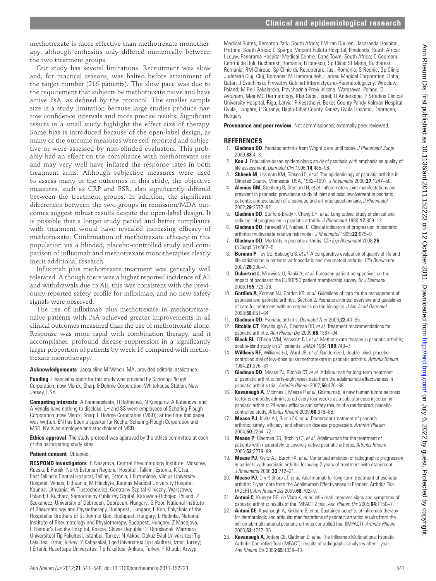methotrexate is more effective than methotrexate monotherapy, although enthesitis only differed numerically between the two treatment groups.

Our study has several limitations. Recruitment was slow and, for practical reasons, was halted before attainment of the target number (216 patients). The slow pace was due to the requirement that subjects be methotrexate naive and have active PsA, as defined by the protocol. The smaller sample size is a study limitation because large studies produce narrow confidence intervals and more precise results. Significant results in a small study highlight the effect size of therapy. Some bias is introduced because of the open-label design, as many of the outcome measures were self-reported and subjective or were assessed by non-blinded evaluators. This probably had an effect on the compliance with methotrexate use and may very well have inflated the response rates in both treatment arms. Although subjective measures were used to assess many of the outcomes in this study, the objective measures, such as CRP and ESR, also significantly differed between the treatment groups. In addition, the significant differences between the two groups in remission/MDA outcomes suggest robust results despite the open-label design. It is possible that a longer study period and better compliance with treatment would have revealed increasing efficacy of methotrexate. Confirmation of methotrexate efficacy in this population via a blinded, placebo-controlled study and comparison of infliximab and methotrexate monotherapies clearly merit additional research. 13\_annrheumdis-2011-152223.indd 547 2/28/2012 9:11:39 PM on July 6, 2022 by guest. Protected by copyright. <http://ard.bmj.com/> Ann Rheum Dis: first published as 10.1136/ard.2011.152223 on 12 October 2011. Downloaded from

Infliximab plus methotrexate treatment was generally well tolerated. Although there was a higher reported incidence of AE and withdrawals due to AE, this was consistent with the previously reported safety profile for infliximab, and no new safety signals were observed.

The use of infliximab plus methotrexate in methotrexatenaive patients with PsA achieved greater improvements in all clinical outcomes measured than the use of methotrexate alone. Response was more rapid with combination therapy, and it accomplished profound disease suppression in a significantly larger proportion of patients by week 16 compared with methotrexate monotherapy.

**Acknowledgements** Jacqueline M Mahon, MA, provided editorial assistance.

**Funding** Financial support for this study was provided by Schering-Plough Corporation, now Merck, Sharp & Dohme Corporation, Whitehouse Station, New Jersey, USA.

**Competing interests** A Baranauskaite, H Raffayová, N Kungurov, A Kubanova, and A Venalis have nothing to disclose. LH and SS were employees of Schering-Plough Corporation, now Merck, Sharp & Dohme Corporation (MSD), at the time this paper was written. EN has been a speaker for Roche, Schering-Plough Corporation and MSD. NV is an employee and stockholder of MSD.

**Ethics approval** The study protocol was approved by the ethics committee at each of the participating study sites.

#### **Patient consent** Obtained.

**RESPOND investigators** R Nasyrova, Central Rheumatology Institute, Moscow, Russia; E Parsik, North Estonian Regional Hospital, Tallinn, Estonia; K Otsa, East-Tallinn's Central Hospital, Tallinn, Estonia; I Butrimiene, Vilnius University Hospital, Vilnius, Lithuania; M Pileckyte, Kaunas Medical University Hospital, Kaunas, Lithuania; W Tlustochowicz, Centralny Szpital Kliniczny, Warszawa, Poland; E Kucharz, Samodzielny Publiczny Szpital, Katowice-Ochojec, Poland; Z Szekanecz, University of Debrecen, Debrecen, Hungary; G Poor, National Institute of Rheumatology and Physiotherapy, Budapest, Hungary; E Koo, Polyclinic of the Hospitaller Brothers of St John of God, Budapest, Hungary; L Hodinka, National Institute of Rheumatology and Physiotherapy, Budapest, Hungary; Z Macejova, L Pasteur's Faculty Hospital, Kosice, Slovak Republic; H Direskeneli, Marmara Universitesi Tip Fakultesi, Istanbul, Turkey; N Akkoc, Dokuz Eylul Universitesi Tip Fakultesi, Izmir, Turkey; Y Kabasakal, Ege Universitesi Tip Fakultesi, Izmir, Turkey; I Ertenli, Hacettepe Universitesi Tip Fakultesi, Ankara, Turkey; F Khatib, Arwyp

Medical Suites, Kempton Park, South Africa; EM van Duuren, Jacaranda Hospital, Pretoria, South Africa; C Spargo, Vincent Pallotti Hospital, Pinelands, South Africa; I Louw, Panorama Hospital Medical Centre, Cape Town, South Africa; C Codreanu, Centrul de Boli, Bucharest, Romania; R Ionescu, Sp Clinic Sf Maria, Bucharest, Romania; RM Chireac, Sp Clinic de Recuperare, Iasi, Romania; S Rednic, Sp Clinic Judetean Cluj, Cluj, Romania; M Hammoudeh, Hamad Medical Corporation, Doha, Qatar; J Szechinski, Prywatny Gabinet Internistyczno-Reumatologiczny, Wroclaw, Poland; M Rell-Bakalarska, Przychodnia Przykliniczna, Warszawa, Poland; D Avraham, Meir MC Dermatology, Kfar Saba, Israel; D Andersone, P Stradins Clinical University Hospital, Riga, Latvia; P Keszthelyi, Bekes County Pandy Kalman Hospital, Gyula, Hungary; P Suranyi, Hajdu-Bihar County Kenezy Gyula Hospital, Debrecen, **Hungary** 

**Provenance and peer review** Not commissioned; externally peer reviewed.

#### **REFERENCES**

- 1. **Gladman DD**. Psoriatic arthritis from Wright's era until today. *J Rheumatol Suppl* 2009;**83**:4–8.
- 2. **Koo J**. Population-based epidemiologic study of psoriasis with emphasis on quality of life assessment. *Dermatol Clin* 1996;**14**:485–96.
- 3. **Shbeeb M**, Uramoto KM, Gibson LE, *et al.* The epidemiology of psoriatic arthritis in Olmsted County, Minnesota, USA, 1982–1991. *J Rheumatol* 2000;**27**:1247–50.
- 4. **Alenius GM**, Stenberg B, Stenlund H, et al. Inflammatory joint manifestations are prevalent in psoriasis: prevalence study of joint and axial involvement in psoriatic patients, and evaluation of a psoriatic and arthritic questionnaire. *J Rheumatol* 2002;**29**:2577–82.
- 5. **Gladman DD**, Stafford-Brady F, Chang CH, *et al.* Longitudinal study of clinical and radiological progression in psoriatic arthritis. *J Rheumatol* 1990;**17**:809–12.
- 6. **Gladman DD**, Farewell VT, Nadeau C. Clinical indicators of progression in psoriatic arthritis: multivariate relative risk model. *J Rheumatol* 1995;**22**:675–9.
- 7. **Gladman DD**. Mortality in psoriatic arthritis. *Clin Exp Rheumatol* 2008;**26** (5 Suppl 51):S62–5.
- **Borman P**, Toy GG, Babaoglu S, et al. A comparative evaluation of quality of life and life satisfaction in patients with psoriatic and rheumatoid arthritis. *Clin Rheumatol* 2007;**26**:330–4.
- 9. **Dubertret L**, Mrowietz U, Ranki A, *et al.* European patient perspectives on the impact of psoriasis: the EUROPSO patient membership survey. *Br J Dermatol* 2006;**155**:729–36.
- 10. **Gottlieb A**, Korman NJ, Gordon KB, *et al.* Guidelines of care for the management of psoriasis and psoriatic arthritis: Section 2. Psoriatic arthritis: overview and guidelines of care for treatment with an emphasis on the biologics. *J Am Acad Dermatol* 2008;**58**:851–64.
- 11. **Gladman DD**. Psoriatic arthritis. *Dermatol Ther* 2009;**22**:40–55.
- 12. **Ritchlin CT**, Kavanaugh A, Gladman DD, *et al.* Treatment recommendations for psoriatic arthritis. *Ann Rheum Dis* 2009;**68**:1387–94.
- 13. **Black RL**, O'Brien WM, Vanscott EJ, *et al.* Methotrexate therapy in psoriatic arthritis; double-blind study on 21 patients. *JAMA* 1964;**189**:743–7.
- 14. **Willkens RF**, Williams HJ, Ward JR, *et al.* Randomized, double-blind, placebo controlled trial of low-dose pulse methotrexate in psoriatic arthritis. *Arthritis Rheum* 1984;**27**:376–81.
- 15. **Gladman DD**, Mease PJ, Ritchlin CT, *et al.* Adalimumab for long-term treatment of psoriatic arthritis: forty-eight week data from the adalimumab effectiveness in psoriatic arthritis trial. *Arthritis Rheum* 2007;**56**:476–88.
- 16. **Kavanaugh A**, McInnes I, Mease P, *et al*. Golimumab, a new human tumor necrosis factor  $\alpha$  antibody, administered every four weeks as a subcutaneous injection in psoriatic arthritis: 24-week efficacy and safety results of a randomized, placebocontrolled study. *Arthritis Rheum* 2009;**60**:976–86.
- 17. **Mease PJ**, Kivitz AJ, Burch FX, *et al.* Etanercept treatment of psoriatic arthritis: safety, efficacy, and effect on disease progression. Arthritis Rheum 2004;**50**:2264–72.
- 18. **Mease P**, Gladman DD, Ritchlin CT, *et al*. Adalimumab for the treatment of patients with moderately to severely active psoriatic arthritis. *Arthritis Rheum* 2005;**52**:3279–89.
- 19. **Mease PJ**, Kivitz AJ, Burch FX, *et al.* Continued inhibition of radiographic progression in patients with psoriatic arthritis following 2 years of treatment with etanercept. *J Rheumatol* 2006;**33**:712–21.
- 20. **Mease PJ**, Ory P, Sharp JT, *et al.* Adalimumab for long-term treatment of psoriatic arthritis: 2-year data from the Adalimumab Effectiveness in Psoriatic Arthritis Trial (ADEPT). *Ann Rheum Dis* 2009;**68**:702–9.
- 21. **Antoni C**, Krueger GG, de Vlam K, et al. Infliximab improves signs and symptoms of psoriatic arthritis: results of the IMPACT 2 trial. *Ann Rheum Dis* 2005;**64**:1150–7.
- 22. **Antoni CE**, Kavanaugh A, Kirkham B, et al. Sustained benefits of infliximab therapy for dermatologic and articular manifestations of psoriatic arthritis: results from the infliximab multinational psoriatic arthritis controlled trial (IMPACT). Arthritis Rheum 2005;**52**:1227–36.
- 23. **Kavanaugh A**, Antoni CE, Gladman D, et al. The Infliximab Multinational Psoriatic Arthritis Controlled Trial (IMPACT): results of radiographic analyses after 1 year. *Ann Rheum Dis* 2006;**65**:1038–43.